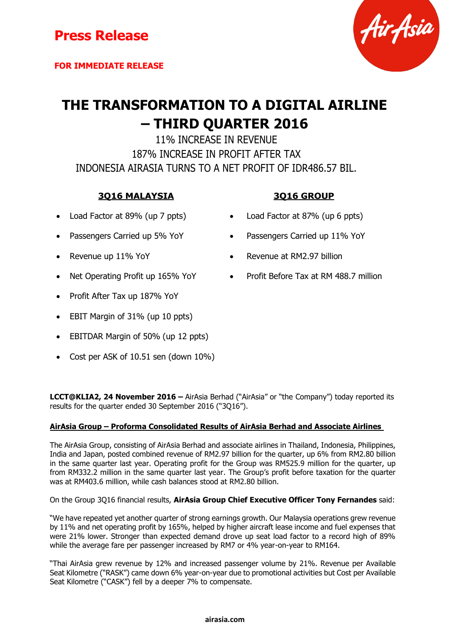

# **THE TRANSFORMATION TO A DIGITAL AIRLINE – THIRD QUARTER 2016**

11% INCREASE IN REVENUE 187% INCREASE IN PROFIT AFTER TAX INDONESIA AIRASIA TURNS TO A NET PROFIT OF IDR486.57 BIL.

# **3Q16 MALAYSIA 3Q16 GROUP**

- 
- Passengers Carried up 5% YoY **•** Passengers Carried up 11% YoY
- 
- 
- Profit After Tax up 187% YoY
- EBIT Margin of 31% (up 10 ppts)
- EBITDAR Margin of 50% (up 12 ppts)
- Cost per ASK of 10.51 sen (down 10%)

- Load Factor at 89% (up 7 ppts) Load Factor at 87% (up 6 ppts)
	-
	- Revenue up 11% YoY **CONFIDENT CONTROL** Revenue at RM2.97 billion
- Net Operating Profit up 165% YoY Profit Before Tax at RM 488.7 million

**LCCT@KLIA2, 24 November 2016 –** AirAsia Berhad ("AirAsia" or "the Company") today reported its results for the quarter ended 30 September 2016 ("3Q16").

### **AirAsia Group – Proforma Consolidated Results of AirAsia Berhad and Associate Airlines**

The AirAsia Group, consisting of AirAsia Berhad and associate airlines in Thailand, Indonesia, Philippines, India and Japan, posted combined revenue of RM2.97 billion for the quarter, up 6% from RM2.80 billion in the same quarter last year. Operating profit for the Group was RM525.9 million for the quarter, up from RM332.2 million in the same quarter last year. The Group's profit before taxation for the quarter was at RM403.6 million, while cash balances stood at RM2.80 billion.

On the Group 3Q16 financial results, **AirAsia Group Chief Executive Officer Tony Fernandes** said:

"We have repeated yet another quarter of strong earnings growth. Our Malaysia operations grew revenue by 11% and net operating profit by 165%, helped by higher aircraft lease income and fuel expenses that were 21% lower. Stronger than expected demand drove up seat load factor to a record high of 89% while the average fare per passenger increased by RM7 or 4% year-on-year to RM164.

"Thai AirAsia grew revenue by 12% and increased passenger volume by 21%. Revenue per Available Seat Kilometre ("RASK") came down 6% year-on-year due to promotional activities but Cost per Available Seat Kilometre ("CASK") fell by a deeper 7% to compensate.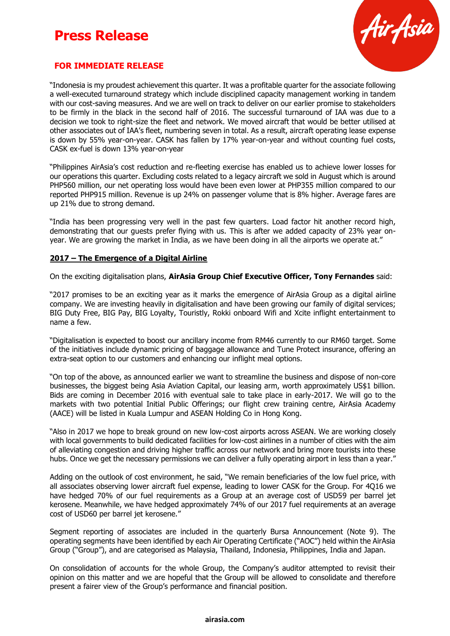

## **FOR IMMEDIATE RELEASE**

"Indonesia is my proudest achievement this quarter. It was a profitable quarter for the associate following a well-executed turnaround strategy which include disciplined capacity management working in tandem with our cost-saving measures. And we are well on track to deliver on our earlier promise to stakeholders to be firmly in the black in the second half of 2016. The successful turnaround of IAA was due to a decision we took to right-size the fleet and network. We moved aircraft that would be better utilised at other associates out of IAA's fleet, numbering seven in total. As a result, aircraft operating lease expense is down by 55% year-on-year. CASK has fallen by 17% year-on-year and without counting fuel costs, CASK ex-fuel is down 13% year-on-year

"Philippines AirAsia's cost reduction and re-fleeting exercise has enabled us to achieve lower losses for our operations this quarter. Excluding costs related to a legacy aircraft we sold in August which is around PHP560 million, our net operating loss would have been even lower at PHP355 million compared to our reported PHP915 million. Revenue is up 24% on passenger volume that is 8% higher. Average fares are up 21% due to strong demand.

"India has been progressing very well in the past few quarters. Load factor hit another record high, demonstrating that our guests prefer flying with us. This is after we added capacity of 23% year onyear. We are growing the market in India, as we have been doing in all the airports we operate at."

#### **2017 – The Emergence of a Digital Airline**

On the exciting digitalisation plans, **AirAsia Group Chief Executive Officer, Tony Fernandes** said:

"2017 promises to be an exciting year as it marks the emergence of AirAsia Group as a digital airline company. We are investing heavily in digitalisation and have been growing our family of digital services; BIG Duty Free, BIG Pay, BIG Loyalty, Touristly, Rokki onboard Wifi and Xcite inflight entertainment to name a few.

"Digitalisation is expected to boost our ancillary income from RM46 currently to our RM60 target. Some of the initiatives include dynamic pricing of baggage allowance and Tune Protect insurance, offering an extra-seat option to our customers and enhancing our inflight meal options.

"On top of the above, as announced earlier we want to streamline the business and dispose of non-core businesses, the biggest being Asia Aviation Capital, our leasing arm, worth approximately US\$1 billion. Bids are coming in December 2016 with eventual sale to take place in early-2017. We will go to the markets with two potential Initial Public Offerings; our flight crew training centre, AirAsia Academy (AACE) will be listed in Kuala Lumpur and ASEAN Holding Co in Hong Kong.

"Also in 2017 we hope to break ground on new low-cost airports across ASEAN. We are working closely with local governments to build dedicated facilities for low-cost airlines in a number of cities with the aim of alleviating congestion and driving higher traffic across our network and bring more tourists into these hubs. Once we get the necessary permissions we can deliver a fully operating airport in less than a year."

Adding on the outlook of cost environment, he said, "We remain beneficiaries of the low fuel price, with all associates observing lower aircraft fuel expense, leading to lower CASK for the Group. For 4Q16 we have hedged 70% of our fuel requirements as a Group at an average cost of USD59 per barrel jet kerosene. Meanwhile, we have hedged approximately 74% of our 2017 fuel requirements at an average cost of USD60 per barrel jet kerosene."

Segment reporting of associates are included in the quarterly Bursa Announcement (Note 9). The operating segments have been identified by each Air Operating Certificate ("AOC") held within the AirAsia Group ("Group"), and are categorised as Malaysia, Thailand, Indonesia, Philippines, India and Japan.

On consolidation of accounts for the whole Group, the Company's auditor attempted to revisit their opinion on this matter and we are hopeful that the Group will be allowed to consolidate and therefore present a fairer view of the Group's performance and financial position.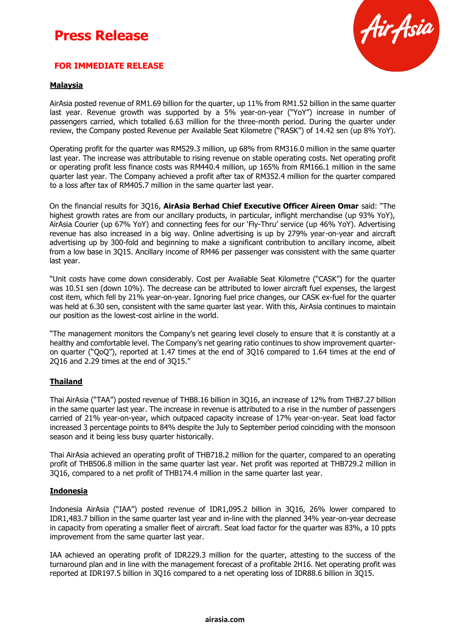

### **FOR IMMEDIATE RELEASE**

### **Malaysia**

AirAsia posted revenue of RM1.69 billion for the quarter, up 11% from RM1.52 billion in the same quarter last year. Revenue growth was supported by a 5% year-on-year ("YoY") increase in number of passengers carried, which totalled 6.63 million for the three-month period. During the quarter under review, the Company posted Revenue per Available Seat Kilometre ("RASK") of 14.42 sen (up 8% YoY).

Operating profit for the quarter was RM529.3 million, up 68% from RM316.0 million in the same quarter last year. The increase was attributable to rising revenue on stable operating costs. Net operating profit or operating profit less finance costs was RM440.4 million, up 165% from RM166.1 million in the same quarter last year. The Company achieved a profit after tax of RM352.4 million for the quarter compared to a loss after tax of RM405.7 million in the same quarter last year.

On the financial results for 3Q16, **AirAsia Berhad Chief Executive Officer Aireen Omar** said: "The highest growth rates are from our ancillary products, in particular, inflight merchandise (up 93% YoY), AirAsia Courier (up 67% YoY) and connecting fees for our 'Fly-Thru' service (up 46% YoY). Advertising revenue has also increased in a big way. Online advertising is up by 279% year-on-year and aircraft advertising up by 300-fold and beginning to make a significant contribution to ancillary income, albeit from a low base in 3Q15. Ancillary income of RM46 per passenger was consistent with the same quarter last year.

"Unit costs have come down considerably. Cost per Available Seat Kilometre ("CASK") for the quarter was 10.51 sen (down 10%). The decrease can be attributed to lower aircraft fuel expenses, the largest cost item, which fell by 21% year-on-year. Ignoring fuel price changes, our CASK ex-fuel for the quarter was held at 6.30 sen, consistent with the same quarter last year. With this, AirAsia continues to maintain our position as the lowest-cost airline in the world.

"The management monitors the Company's net gearing level closely to ensure that it is constantly at a healthy and comfortable level. The Company's net gearing ratio continues to show improvement quarteron quarter ("QoQ"), reported at 1.47 times at the end of 3Q16 compared to 1.64 times at the end of 2Q16 and 2.29 times at the end of 3Q15."

#### **Thailand**

Thai AirAsia ("TAA") posted revenue of THB8.16 billion in 3Q16, an increase of 12% from THB7.27 billion in the same quarter last year. The increase in revenue is attributed to a rise in the number of passengers carried of 21% year-on-year, which outpaced capacity increase of 17% year-on-year. Seat load factor increased 3 percentage points to 84% despite the July to September period coinciding with the monsoon season and it being less busy quarter historically.

Thai AirAsia achieved an operating profit of THB718.2 million for the quarter, compared to an operating profit of THB506.8 million in the same quarter last year. Net profit was reported at THB729.2 million in 3Q16, compared to a net profit of THB174.4 million in the same quarter last year.

#### **Indonesia**

Indonesia AirAsia ("IAA") posted revenue of IDR1,095.2 billion in 3Q16, 26% lower compared to IDR1,483.7 billion in the same quarter last year and in-line with the planned 34% year-on-year decrease in capacity from operating a smaller fleet of aircraft. Seat load factor for the quarter was 83%, a 10 ppts improvement from the same quarter last year.

IAA achieved an operating profit of IDR229.3 million for the quarter, attesting to the success of the turnaround plan and in line with the management forecast of a profitable 2H16. Net operating profit was reported at IDR197.5 billion in 3Q16 compared to a net operating loss of IDR88.6 billion in 3Q15.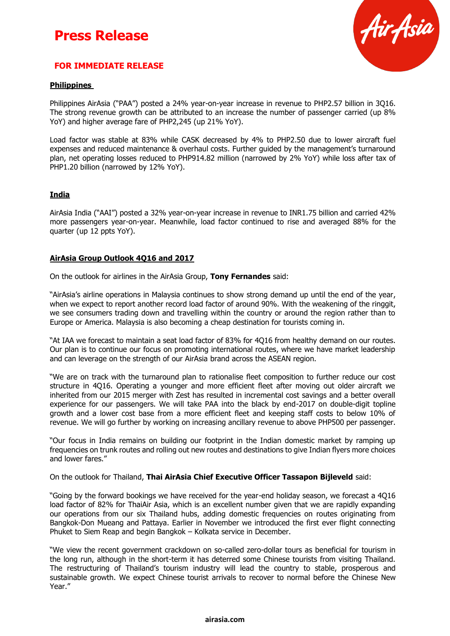

### **FOR IMMEDIATE RELEASE**

### **Philippines**

Philippines AirAsia ("PAA") posted a 24% year-on-year increase in revenue to PHP2.57 billion in 3Q16. The strong revenue growth can be attributed to an increase the number of passenger carried (up 8% YoY) and higher average fare of PHP2,245 (up 21% YoY).

Load factor was stable at 83% while CASK decreased by 4% to PHP2.50 due to lower aircraft fuel expenses and reduced maintenance & overhaul costs. Further guided by the management's turnaround plan, net operating losses reduced to PHP914.82 million (narrowed by 2% YoY) while loss after tax of PHP1.20 billion (narrowed by 12% YoY).

#### **India**

AirAsia India ("AAI") posted a 32% year-on-year increase in revenue to INR1.75 billion and carried 42% more passengers year-on-year. Meanwhile, load factor continued to rise and averaged 88% for the quarter (up 12 ppts YoY).

#### **AirAsia Group Outlook 4Q16 and 2017**

On the outlook for airlines in the AirAsia Group, **Tony Fernandes** said:

"AirAsia's airline operations in Malaysia continues to show strong demand up until the end of the year, when we expect to report another record load factor of around 90%. With the weakening of the ringgit, we see consumers trading down and travelling within the country or around the region rather than to Europe or America. Malaysia is also becoming a cheap destination for tourists coming in.

"At IAA we forecast to maintain a seat load factor of 83% for 4Q16 from healthy demand on our routes. Our plan is to continue our focus on promoting international routes, where we have market leadership and can leverage on the strength of our AirAsia brand across the ASEAN region.

"We are on track with the turnaround plan to rationalise fleet composition to further reduce our cost structure in 4Q16. Operating a younger and more efficient fleet after moving out older aircraft we inherited from our 2015 merger with Zest has resulted in incremental cost savings and a better overall experience for our passengers. We will take PAA into the black by end-2017 on double-digit topline growth and a lower cost base from a more efficient fleet and keeping staff costs to below 10% of revenue. We will go further by working on increasing ancillary revenue to above PHP500 per passenger.

"Our focus in India remains on building our footprint in the Indian domestic market by ramping up frequencies on trunk routes and rolling out new routes and destinations to give Indian flyers more choices and lower fares."

On the outlook for Thailand, **Thai AirAsia Chief Executive Officer Tassapon Bijleveld** said:

"Going by the forward bookings we have received for the year-end holiday season, we forecast a 4Q16 load factor of 82% for ThaiAir Asia, which is an excellent number given that we are rapidly expanding our operations from our six Thailand hubs, adding domestic frequencies on routes originating from Bangkok-Don Mueang and Pattaya. Earlier in November we introduced the first ever flight connecting Phuket to Siem Reap and begin Bangkok – Kolkata service in December.

"We view the recent government crackdown on so-called zero-dollar tours as beneficial for tourism in the long run, although in the short-term it has deterred some Chinese tourists from visiting Thailand. The restructuring of Thailand's tourism industry will lead the country to stable, prosperous and sustainable growth. We expect Chinese tourist arrivals to recover to normal before the Chinese New Year."